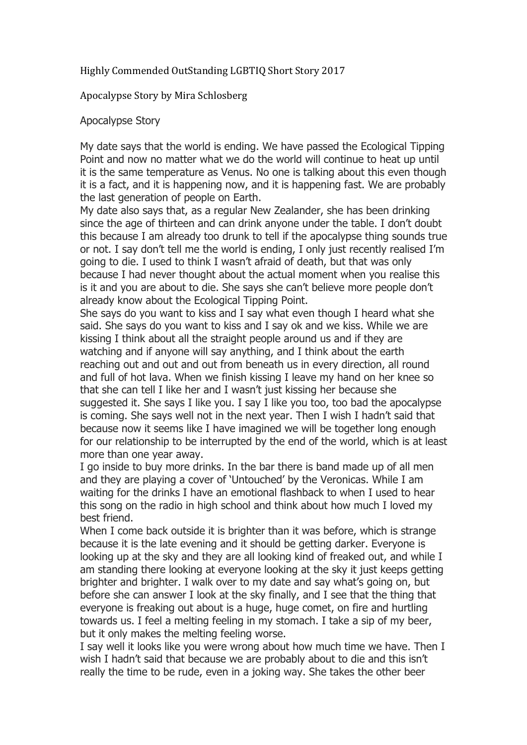## Highly Commended OutStanding LGBTIQ Short Story 2017

## Apocalypse Story by Mira Schlosberg

## Apocalypse Story

My date says that the world is ending. We have passed the Ecological Tipping Point and now no matter what we do the world will continue to heat up until it is the same temperature as Venus. No one is talking about this even though it is a fact, and it is happening now, and it is happening fast. We are probably the last generation of people on Earth.

My date also says that, as a regular New Zealander, she has been drinking since the age of thirteen and can drink anyone under the table. I don't doubt this because I am already too drunk to tell if the apocalypse thing sounds true or not. I say don't tell me the world is ending, I only just recently realised I'm going to die. I used to think I wasn't afraid of death, but that was only because I had never thought about the actual moment when you realise this is it and you are about to die. She says she can't believe more people don't already know about the Ecological Tipping Point.

She says do you want to kiss and I say what even though I heard what she said. She says do you want to kiss and I say ok and we kiss. While we are kissing I think about all the straight people around us and if they are watching and if anyone will say anything, and I think about the earth reaching out and out and out from beneath us in every direction, all round and full of hot lava. When we finish kissing I leave my hand on her knee so that she can tell I like her and I wasn't just kissing her because she suggested it. She says I like you. I say I like you too, too bad the apocalypse is coming. She says well not in the next year. Then I wish I hadn't said that because now it seems like I have imagined we will be together long enough for our relationship to be interrupted by the end of the world, which is at least more than one year away.

I go inside to buy more drinks. In the bar there is band made up of all men and they are playing a cover of 'Untouched' by the Veronicas. While I am waiting for the drinks I have an emotional flashback to when I used to hear this song on the radio in high school and think about how much I loved my best friend.

When I come back outside it is brighter than it was before, which is strange because it is the late evening and it should be getting darker. Everyone is looking up at the sky and they are all looking kind of freaked out, and while I am standing there looking at everyone looking at the sky it just keeps getting brighter and brighter. I walk over to my date and say what's going on, but before she can answer I look at the sky finally, and I see that the thing that everyone is freaking out about is a huge, huge comet, on fire and hurtling towards us. I feel a melting feeling in my stomach. I take a sip of my beer, but it only makes the melting feeling worse.

I say well it looks like you were wrong about how much time we have. Then I wish I hadn't said that because we are probably about to die and this isn't really the time to be rude, even in a joking way. She takes the other beer